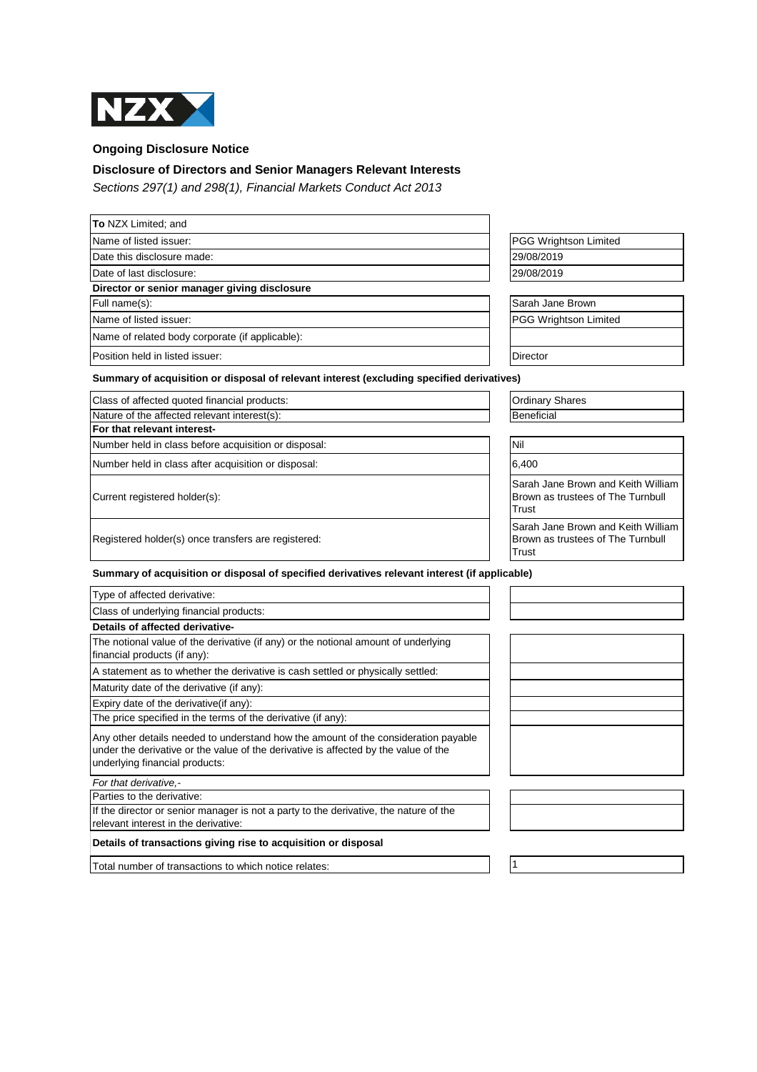

**Ongoing Disclosure Notice**

## **Disclosure of Directors and Senior Managers Relevant Interests**

Sections 297(1) and 298(1), Financial Markets Conduct Act 2013

| To NZX Limited; and                                                                                                                                                                                         |                                                                                  |
|-------------------------------------------------------------------------------------------------------------------------------------------------------------------------------------------------------------|----------------------------------------------------------------------------------|
| Name of listed issuer:                                                                                                                                                                                      | <b>PGG Wrightson Limited</b>                                                     |
| Date this disclosure made:                                                                                                                                                                                  | 29/08/2019                                                                       |
| Date of last disclosure:                                                                                                                                                                                    | 29/08/2019                                                                       |
| Director or senior manager giving disclosure                                                                                                                                                                |                                                                                  |
| Full name(s):                                                                                                                                                                                               | Sarah Jane Brown                                                                 |
| Name of listed issuer:                                                                                                                                                                                      | <b>PGG Wrightson Limited</b>                                                     |
| Name of related body corporate (if applicable):                                                                                                                                                             |                                                                                  |
| Position held in listed issuer:                                                                                                                                                                             | Director                                                                         |
| Summary of acquisition or disposal of relevant interest (excluding specified derivatives)                                                                                                                   |                                                                                  |
| Class of affected quoted financial products:                                                                                                                                                                | <b>Ordinary Shares</b>                                                           |
| Nature of the affected relevant interest(s):                                                                                                                                                                | <b>Beneficial</b>                                                                |
| For that relevant interest-                                                                                                                                                                                 |                                                                                  |
| Number held in class before acquisition or disposal:                                                                                                                                                        | Nil                                                                              |
| Number held in class after acquisition or disposal:                                                                                                                                                         | 6,400                                                                            |
| Current registered holder(s):                                                                                                                                                                               | Sarah Jane Brown and Keith William<br>Brown as trustees of The Turnbull<br>Trust |
| Registered holder(s) once transfers are registered:                                                                                                                                                         | Sarah Jane Brown and Keith William<br>Brown as trustees of The Turnbull<br>Trust |
| Summary of acquisition or disposal of specified derivatives relevant interest (if applicable)                                                                                                               |                                                                                  |
| Type of affected derivative:                                                                                                                                                                                |                                                                                  |
| Class of underlying financial products:                                                                                                                                                                     |                                                                                  |
| Details of affected derivative-                                                                                                                                                                             |                                                                                  |
| The notional value of the derivative (if any) or the notional amount of underlying<br>financial products (if any):                                                                                          |                                                                                  |
| A statement as to whether the derivative is cash settled or physically settled:                                                                                                                             |                                                                                  |
| Maturity date of the derivative (if any):                                                                                                                                                                   |                                                                                  |
| Expiry date of the derivative(if any):                                                                                                                                                                      |                                                                                  |
| The price specified in the terms of the derivative (if any):                                                                                                                                                |                                                                                  |
| Any other details needed to understand how the amount of the consideration payable<br>under the derivative or the value of the derivative is affected by the value of the<br>underlying financial products: |                                                                                  |
| For that derivative.-                                                                                                                                                                                       |                                                                                  |
| Parties to the derivative:                                                                                                                                                                                  |                                                                                  |
| If the director or senior manager is not a party to the derivative, the nature of the<br>relevant interest in the derivative:                                                                               |                                                                                  |
| Details of transactions giving rise to acquisition or disposal                                                                                                                                              |                                                                                  |
| Total number of transactions to which notice relates:                                                                                                                                                       | 1                                                                                |